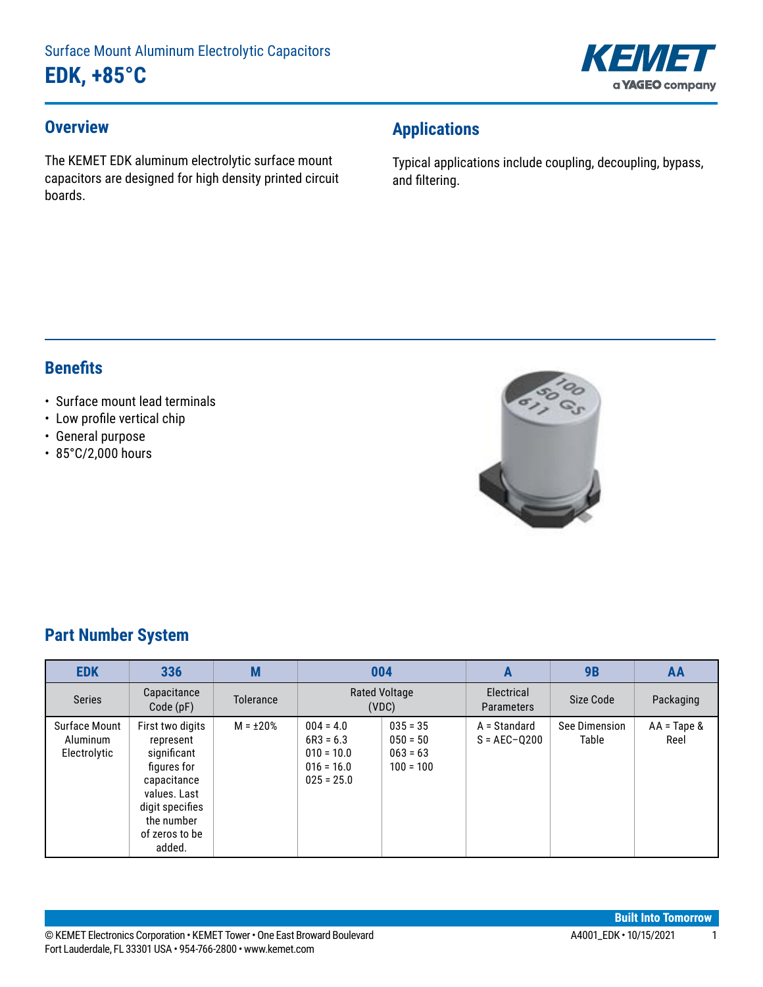

### **Overview**

The KEMET EDK aluminum electrolytic surface mount capacitors are designed for high density printed circuit boards.

# **Applications**

Typical applications include coupling, decoupling, bypass, and filtering.

### **Benefits**

- Surface mount lead terminals
- • Low profile vertical chip
- General purpose
- 85°C/2,000 hours



## **Part Number System**

| <b>EDK</b>                                | 336                                                                                                                                                     | M              | 004                                                                        |                                                       | A                                | <b>9B</b>              | AA                            |
|-------------------------------------------|---------------------------------------------------------------------------------------------------------------------------------------------------------|----------------|----------------------------------------------------------------------------|-------------------------------------------------------|----------------------------------|------------------------|-------------------------------|
| <b>Series</b>                             | Capacitance<br>Code(pF)                                                                                                                                 | Tolerance      | <b>Rated Voltage</b><br>(VDC)                                              |                                                       | Electrical<br><b>Parameters</b>  | Size Code              | Packaging                     |
| Surface Mount<br>Aluminum<br>Electrolytic | First two digits<br>represent<br>significant<br>figures for<br>capacitance<br>values. Last<br>digit specifies<br>the number<br>of zeros to be<br>added. | $M = \pm 20\%$ | $004 = 4.0$<br>$6R3 = 6.3$<br>$010 = 10.0$<br>$016 = 16.0$<br>$025 = 25.0$ | $035 = 35$<br>$050 = 50$<br>$063 = 63$<br>$100 = 100$ | A = Standard<br>$S = AEC - Q200$ | See Dimension<br>Table | $AA = \text{Tape } 8$<br>Reel |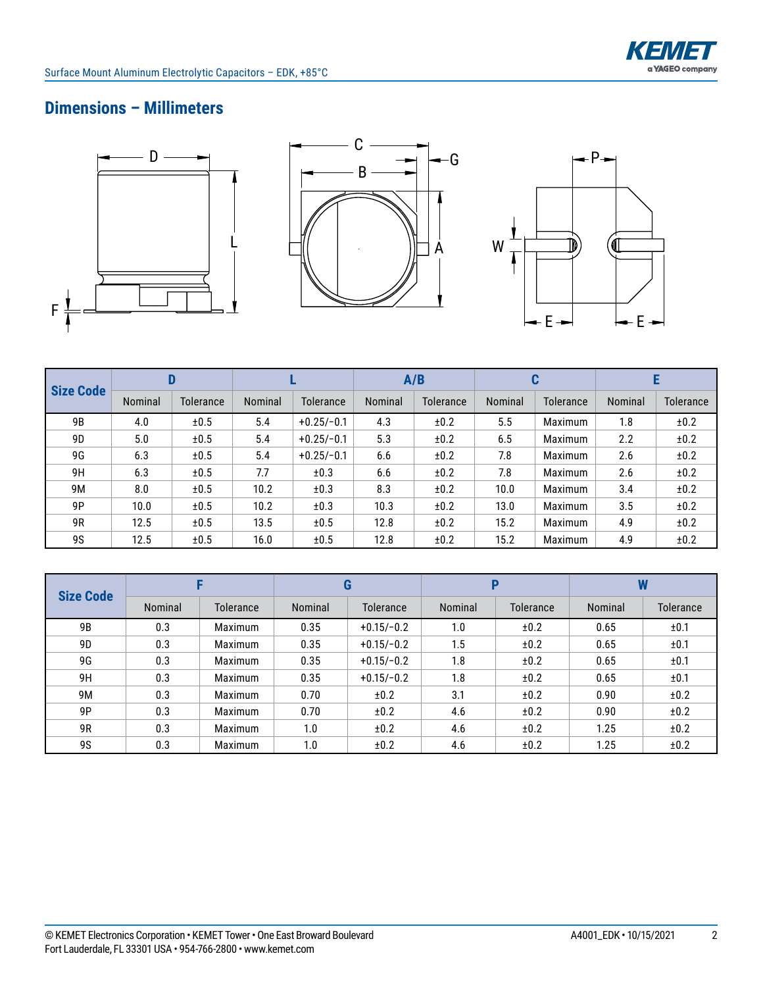

# **Dimensions – Millimeters**







| <b>Size Code</b> |         |                  |         |              | A/B     |                  | u       |                |         |           |
|------------------|---------|------------------|---------|--------------|---------|------------------|---------|----------------|---------|-----------|
|                  | Nominal | <b>Tolerance</b> | Nominal | Tolerance    | Nominal | <b>Tolerance</b> | Nominal | Tolerance      | Nominal | Tolerance |
| 9 <sub>B</sub>   | 4.0     | ±0.5             | 5.4     | $+0.25/-0.1$ | 4.3     | ±0.2             | 5.5     | Maximum        | 1.8     | ±0.2      |
| 9D               | 5.0     | ±0.5             | 5.4     | $+0.25/-0.1$ | 5.3     | ±0.2             | 6.5     | <b>Maximum</b> | 2.2     | ±0.2      |
| 9G               | 6.3     | ±0.5             | 5.4     | $+0.25/-0.1$ | 6.6     | ±0.2             | 7.8     | Maximum        | 2.6     | ±0.2      |
| 9H               | 6.3     | ±0.5             | 7.7     | ±0.3         | 6.6     | ±0.2             | 7.8     | <b>Maximum</b> | 2.6     | ±0.2      |
| 9M               | 8.0     | ±0.5             | 10.2    | ±0.3         | 8.3     | ±0.2             | 10.0    | Maximum        | 3.4     | ±0.2      |
| 9P               | 10.0    | ±0.5             | 10.2    | ±0.3         | 10.3    | ±0.2             | 13.0    | <b>Maximum</b> | 3.5     | ±0.2      |
| 9R               | 12.5    | ±0.5             | 13.5    | ±0.5         | 12.8    | ±0.2             | 15.2    | <b>Maximum</b> | 4.9     | ±0.2      |
| <b>9S</b>        | 12.5    | ±0.5             | 16.0    | ±0.5         | 12.8    | ±0.2             | 15.2    | <b>Maximum</b> | 4.9     | ±0.2      |

|                  |         |                | G       |                  | Р       |                  | W       |                  |
|------------------|---------|----------------|---------|------------------|---------|------------------|---------|------------------|
| <b>Size Code</b> | Nominal | Tolerance      | Nominal | <b>Tolerance</b> | Nominal | <b>Tolerance</b> | Nominal | <b>Tolerance</b> |
| 9 <sub>B</sub>   | 0.3     | <b>Maximum</b> | 0.35    | $+0.15/-0.2$     | 1.0     | ±0.2             | 0.65    | ±0.1             |
| 9 <sub>D</sub>   | 0.3     | <b>Maximum</b> | 0.35    | $+0.15/-0.2$     | 1.5     | ±0.2             | 0.65    | ±0.1             |
| 9G               | 0.3     | <b>Maximum</b> | 0.35    | $+0.15/-0.2$     | 1.8     | ±0.2             | 0.65    | ±0.1             |
| 9H               | 0.3     | <b>Maximum</b> | 0.35    | $+0.15/-0.2$     | 1.8     | ±0.2             | 0.65    | ±0.1             |
| 9M               | 0.3     | Maximum        | 0.70    | ±0.2             | 3.1     | ±0.2             | 0.90    | ±0.2             |
| 9P               | 0.3     | <b>Maximum</b> | 0.70    | ±0.2             | 4.6     | ±0.2             | 0.90    | ±0.2             |
| 9R               | 0.3     | Maximum        | 1.0     | ±0.2             | 4.6     | ±0.2             | 1.25    | ±0.2             |
| <b>9S</b>        | 0.3     | Maximum        | 1.0     | ±0.2             | 4.6     | ±0.2             | 1.25    | ±0.2             |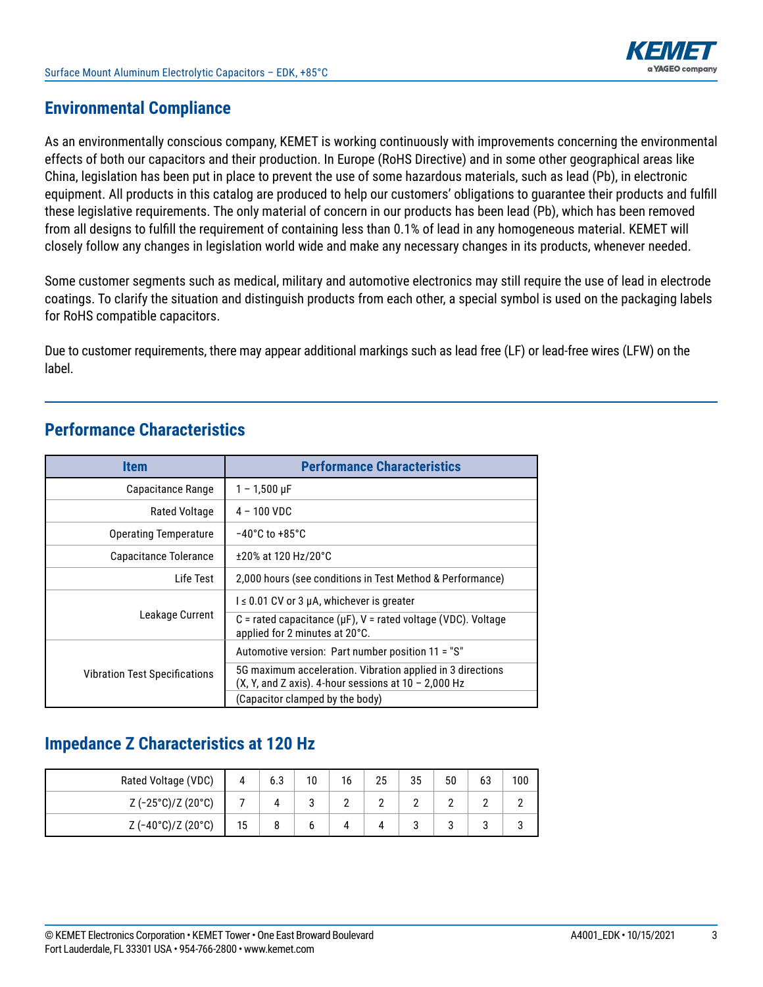

### **Environmental Compliance**

As an environmentally conscious company, KEMET is working continuously with improvements concerning the environmental effects of both our capacitors and their production. In Europe (RoHS Directive) and in some other geographical areas like China, legislation has been put in place to prevent the use of some hazardous materials, such as lead (Pb), in electronic equipment. All products in this catalog are produced to help our customers' obligations to guarantee their products and fulfill these legislative requirements. The only material of concern in our products has been lead (Pb), which has been removed from all designs to fulfill the requirement of containing less than 0.1% of lead in any homogeneous material. KEMET will closely follow any changes in legislation world wide and make any necessary changes in its products, whenever needed.

Some customer segments such as medical, military and automotive electronics may still require the use of lead in electrode coatings. To clarify the situation and distinguish products from each other, a special symbol is used on the packaging labels for RoHS compatible capacitors.

Due to customer requirements, there may appear additional markings such as lead free (LF) or lead-free wires (LFW) on the label.

| <b>Item</b>                          | <b>Performance Characteristics</b>                                                                                   |
|--------------------------------------|----------------------------------------------------------------------------------------------------------------------|
| Capacitance Range                    | $1 - 1,500 \,\mu F$                                                                                                  |
| Rated Voltage                        | 4 - 100 VDC                                                                                                          |
| <b>Operating Temperature</b>         | $-40^{\circ}$ C to $+85^{\circ}$ C                                                                                   |
| Capacitance Tolerance                | ±20% at 120 Hz/20°C                                                                                                  |
| Life Test                            | 2,000 hours (see conditions in Test Method & Performance)                                                            |
|                                      | $l \leq 0.01$ CV or 3 µA, whichever is greater                                                                       |
| Leakage Current                      | C = rated capacitance ( $\mu$ F), V = rated voltage (VDC). Voltage<br>applied for 2 minutes at 20°C.                 |
|                                      | Automotive version: Part number position 11 = "S"                                                                    |
| <b>Vibration Test Specifications</b> | 5G maximum acceleration. Vibration applied in 3 directions<br>(X, Y, and Z axis). 4-hour sessions at $10 - 2,000$ Hz |
|                                      | (Capacitor clamped by the body)                                                                                      |

# **Performance Characteristics**

# **Impedance Z Characteristics at 120 Hz**

| Rated Voltage (VDC) |    | 6.3 | 10 | 16 | 25 | 35 | 50 | 63 | 100 |
|---------------------|----|-----|----|----|----|----|----|----|-----|
| Z (-25°C)/Z (20°C)  |    |     |    | -  |    |    |    | -  |     |
| Z (-40°C)/Z (20°C)  | 15 |     |    |    |    |    |    | υ  |     |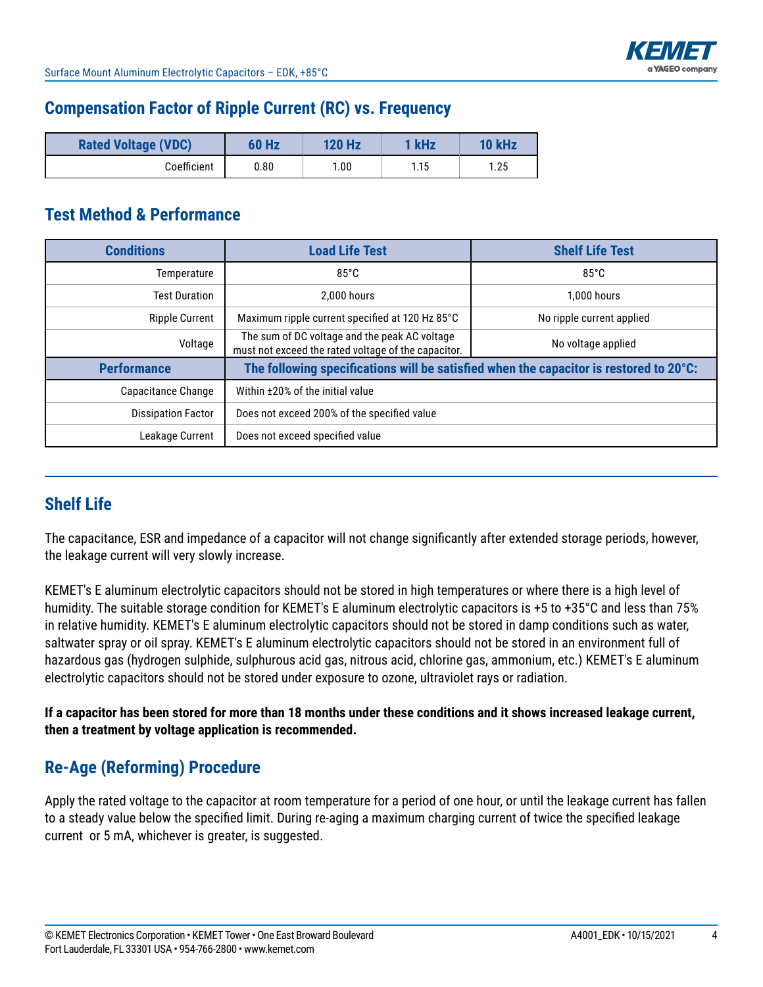

### **Compensation Factor of Ripple Current (RC) vs. Frequency**

| <b>Rated Voltage (VDC)</b> | 60 Hz | <b>120 Hz</b> | kHz  | 10 kHz |
|----------------------------|-------|---------------|------|--------|
| Coefficient                | 0.80  | 1.00          | 1.15 | 1.25   |

### **Test Method & Performance**

| <b>Conditions</b>         | <b>Load Life Test</b>                                                                                | <b>Shelf Life Test</b>                                                                 |  |  |  |  |
|---------------------------|------------------------------------------------------------------------------------------------------|----------------------------------------------------------------------------------------|--|--|--|--|
| Temperature               | $85^{\circ}$ C                                                                                       | $85^{\circ}$ C                                                                         |  |  |  |  |
| <b>Test Duration</b>      | 2.000 hours                                                                                          | 1.000 hours                                                                            |  |  |  |  |
| <b>Ripple Current</b>     | Maximum ripple current specified at 120 Hz 85°C                                                      | No ripple current applied                                                              |  |  |  |  |
| Voltage                   | The sum of DC voltage and the peak AC voltage<br>must not exceed the rated voltage of the capacitor. | No voltage applied                                                                     |  |  |  |  |
| <b>Performance</b>        |                                                                                                      | The following specifications will be satisfied when the capacitor is restored to 20°C: |  |  |  |  |
| Capacitance Change        | Within ±20% of the initial value                                                                     |                                                                                        |  |  |  |  |
| <b>Dissipation Factor</b> | Does not exceed 200% of the specified value                                                          |                                                                                        |  |  |  |  |
| Leakage Current           | Does not exceed specified value                                                                      |                                                                                        |  |  |  |  |

## **Shelf Life**

The capacitance, ESR and impedance of a capacitor will not change significantly after extended storage periods, however, the leakage current will very slowly increase.

KEMET's E aluminum electrolytic capacitors should not be stored in high temperatures or where there is a high level of humidity. The suitable storage condition for KEMET's E aluminum electrolytic capacitors is +5 to +35°C and less than 75% in relative humidity. KEMET's E aluminum electrolytic capacitors should not be stored in damp conditions such as water, saltwater spray or oil spray. KEMET's E aluminum electrolytic capacitors should not be stored in an environment full of hazardous gas (hydrogen sulphide, sulphurous acid gas, nitrous acid, chlorine gas, ammonium, etc.) KEMET's E aluminum electrolytic capacitors should not be stored under exposure to ozone, ultraviolet rays or radiation.

**If a capacitor has been stored for more than 18 months under these conditions and it shows increased leakage current, then a treatment by voltage application is recommended.**

## **Re-Age (Reforming) Procedure**

Apply the rated voltage to the capacitor at room temperature for a period of one hour, or until the leakage current has fallen to a steady value below the specified limit. During re-aging a maximum charging current of twice the specified leakage current or 5 mA, whichever is greater, is suggested.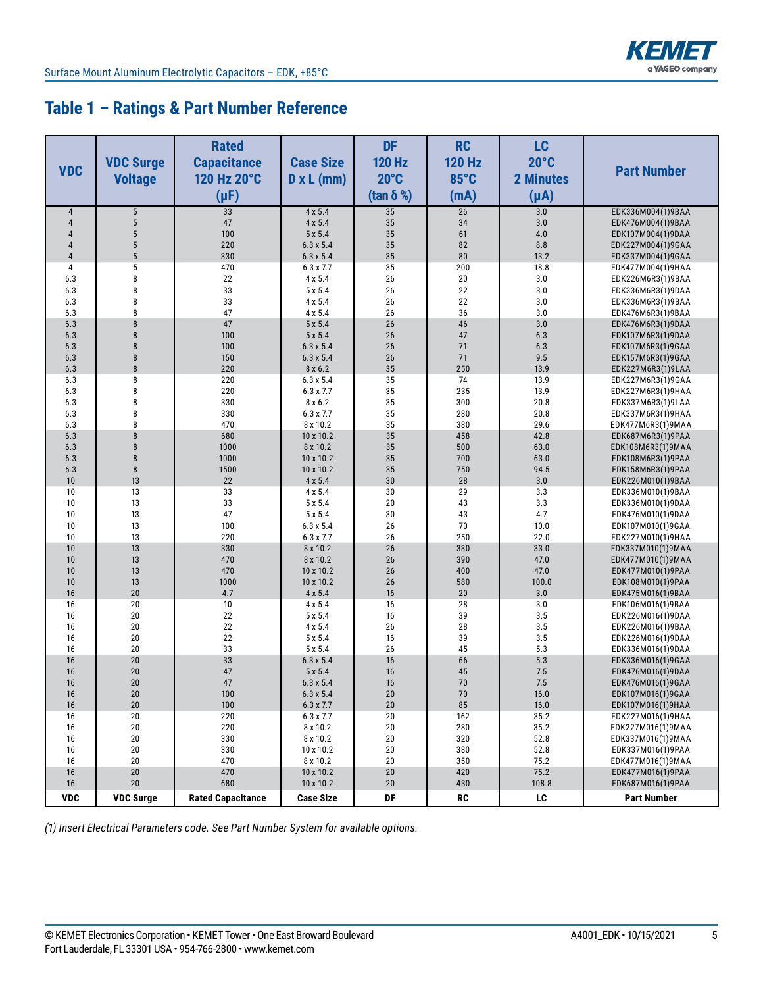

### **Table 1 – Ratings & Part Number Reference**

| <b>VDC</b>     | <b>VDC Surge</b><br><b>Voltage</b> | <b>Rated</b><br><b>Capacitance</b><br>120 Hz 20°C<br>$(\mu F)$ | <b>Case Size</b><br>$D \times L$ (mm) | <b>DF</b><br><b>120 Hz</b><br>$20^{\circ}$ C<br>(tan $\delta$ %) | <b>RC</b><br><b>120 Hz</b><br>85°C<br>(mA) | LC<br>$20^{\circ}$ C<br><b>2 Minutes</b><br>$(\mu A)$ | <b>Part Number</b>                     |
|----------------|------------------------------------|----------------------------------------------------------------|---------------------------------------|------------------------------------------------------------------|--------------------------------------------|-------------------------------------------------------|----------------------------------------|
| $\overline{4}$ | $\sqrt{5}$                         | 33                                                             | $4 \times 5.4$                        | 35                                                               | 26                                         | 3.0                                                   | EDK336M004(1)9BAA                      |
| $\overline{4}$ | $\sqrt{5}$                         | 47                                                             | $4 \times 5.4$                        | 35                                                               | 34                                         | 3.0                                                   | EDK476M004(1)9BAA                      |
| 4              | $\overline{5}$                     | 100                                                            | $5 \times 5.4$                        | 35                                                               | 61                                         | 4.0                                                   | EDK107M004(1)9DAA                      |
| 4              | $\overline{5}$                     | 220                                                            | $6.3 \times 5.4$                      | 35                                                               | 82                                         | 8.8                                                   | EDK227M004(1)9GAA                      |
| $\overline{4}$ | $\sqrt{5}$                         | 330                                                            | $6.3 \times 5.4$                      | 35                                                               | 80                                         | 13.2                                                  | EDK337M004(1)9GAA                      |
| 4              | $\mathbf 5$                        | 470                                                            | $6.3 \times 7.7$                      | 35                                                               | 200                                        | 18.8                                                  | EDK477M004(1)9HAA                      |
| 6.3            | 8                                  | 22                                                             | 4 x 5.4                               | 26                                                               | 20                                         | 3.0                                                   | EDK226M6R3(1)9BAA                      |
| 6.3            | 8                                  | 33                                                             | 5x5.4                                 | 26                                                               | 22                                         | 3.0                                                   | EDK336M6R3(1)9DAA                      |
| 6.3            | 8                                  | 33                                                             | 4 x 5.4                               | 26                                                               | 22                                         | 3.0                                                   | EDK336M6R3(1)9BAA                      |
| 6.3            | 8                                  | 47                                                             | 4 x 5.4                               | 26                                                               | 36                                         | 3.0                                                   | EDK476M6R3(1)9BAA                      |
| 6.3            | 8                                  | 47                                                             | 5x5.4                                 | 26                                                               | 46                                         | 3.0                                                   | EDK476M6R3(1)9DAA                      |
| 6.3<br>6.3     | $\boldsymbol{8}$<br>8              | 100<br>100                                                     | $5 \times 5.4$                        | 26<br>26                                                         | 47<br>71                                   | 6.3<br>6.3                                            | EDK107M6R3(1)9DAA                      |
| 6.3            | 8                                  | 150                                                            | $6.3 \times 5.4$<br>$6.3 \times 5.4$  | 26                                                               | 71                                         | 9.5                                                   | EDK107M6R3(1)9GAA<br>EDK157M6R3(1)9GAA |
| 6.3            | $\boldsymbol{8}$                   | 220                                                            | 8 x 6.2                               | 35                                                               | 250                                        | 13.9                                                  | EDK227M6R3(1)9LAA                      |
| 6.3            | 8                                  | 220                                                            | $6.3 \times 5.4$                      | 35                                                               | 74                                         | 13.9                                                  | EDK227M6R3(1)9GAA                      |
| 6.3            | 8                                  | 220                                                            | 6.3 x 7.7                             | 35                                                               | 235                                        | 13.9                                                  | EDK227M6R3(1)9HAA                      |
| 6.3            | 8                                  | 330                                                            | 8 x 6.2                               | 35                                                               | 300                                        | 20.8                                                  | EDK337M6R3(1)9LAA                      |
| 6.3            | 8                                  | 330                                                            | 6.3 x 7.7                             | 35                                                               | 280                                        | 20.8                                                  | EDK337M6R3(1)9HAA                      |
| 6.3            | 8                                  | 470                                                            | 8 x 10.2                              | 35                                                               | 380                                        | 29.6                                                  | EDK477M6R3(1)9MAA                      |
| 6.3            | 8                                  | 680                                                            | 10 x 10.2                             | 35                                                               | 458                                        | 42.8                                                  | EDK687M6R3(1)9PAA                      |
| 6.3            | 8                                  | 1000                                                           | 8 x 10.2                              | 35                                                               | 500                                        | 63.0                                                  | EDK108M6R3(1)9MAA                      |
| 6.3            | 8                                  | 1000                                                           | 10 x 10.2                             | 35                                                               | 700                                        | 63.0                                                  | EDK108M6R3(1)9PAA                      |
| 6.3            | $\bf 8$                            | 1500                                                           | 10 x 10.2                             | 35                                                               | 750                                        | 94.5                                                  | EDK158M6R3(1)9PAA                      |
| 10             | 13                                 | 22                                                             | 4 x 5.4                               | 30                                                               | 28                                         | 3.0                                                   | EDK226M010(1)9BAA                      |
| 10             | 13                                 | 33                                                             | 4 x 5.4                               | $30\,$                                                           | 29                                         | 3.3                                                   | EDK336M010(1)9BAA                      |
| 10             | 13                                 | 33                                                             | 5 x 5.4                               | 20                                                               | 43                                         | 3.3                                                   | EDK336M010(1)9DAA                      |
| 10             | 13                                 | 47                                                             | $5\times5.4$                          | 30                                                               | 43                                         | 4.7                                                   | EDK476M010(1)9DAA                      |
| 10<br>10       | 13<br>13                           | 100<br>220                                                     | $6.3 \times 5.4$<br>6.3 x 7.7         | 26<br>26                                                         | 70<br>250                                  | 10.0<br>22.0                                          | EDK107M010(1)9GAA                      |
| 10             | 13                                 | 330                                                            | 8 x 10.2                              | 26                                                               | 330                                        | 33.0                                                  | EDK227M010(1)9HAA<br>EDK337M010(1)9MAA |
| 10             | 13                                 | 470                                                            | 8 x 10.2                              | 26                                                               | 390                                        | 47.0                                                  | EDK477M010(1)9MAA                      |
| 10             | 13                                 | 470                                                            | 10 x 10.2                             | 26                                                               | 400                                        | 47.0                                                  | EDK477M010(1)9PAA                      |
| 10             | 13                                 | 1000                                                           | 10 x 10.2                             | 26                                                               | 580                                        | 100.0                                                 | EDK108M010(1)9PAA                      |
| 16             | 20                                 | 4.7                                                            | 4 x 5.4                               | 16                                                               | 20                                         | 3.0                                                   | EDK475M016(1)9BAA                      |
| 16             | 20                                 | 10                                                             | 4 x 5.4                               | 16                                                               | 28                                         | 3.0                                                   | EDK106M016(1)9BAA                      |
| 16             | 20                                 | 22                                                             | 5 x 5.4                               | 16                                                               | 39                                         | 3.5                                                   | EDK226M016(1)9DAA                      |
| 16             | 20                                 | 22                                                             | 4 x 5.4                               | 26                                                               | 28                                         | 3.5                                                   | EDK226M016(1)9BAA                      |
| 16             | 20                                 | 22                                                             | 5 x 5.4                               | 16                                                               | 39                                         | 3.5                                                   | EDK226M016(1)9DAA                      |
| 16             | 20                                 | 33                                                             | 5 x 5.4                               | 26                                                               | 45                                         | 5.3                                                   | EDK336M016(1)9DAA                      |
| 16             | 20                                 | 33                                                             | $6.3 \times 5.4$                      | 16                                                               | 66                                         | 5.3                                                   | EDK336M016(1)9GAA                      |
| 16             | 20                                 | 47                                                             | 5 x 5.4                               | 16                                                               | 45                                         | 7.5                                                   | EDK476M016(1)9DAA                      |
| 16             | 20                                 | 47                                                             | $6.3 \times 5.4$                      | 16                                                               | 70                                         | 7.5                                                   | EDK476M016(1)9GAA                      |
| 16             | $20\,$<br>20                       | 100                                                            | $6.3 \times 5.4$                      | $20\,$                                                           | $70\,$                                     | 16.0                                                  | EDK107M016(1)9GAA                      |
| 16<br>16       | 20                                 | 100<br>220                                                     | $6.3 \times 7.7$<br>$6.3 \times 7.7$  | 20<br>20                                                         | 85<br>162                                  | 16.0<br>35.2                                          | EDK107M016(1)9HAA<br>EDK227M016(1)9HAA |
| 16             | 20                                 | 220                                                            | 8 x 10.2                              | $20\,$                                                           | 280                                        | 35.2                                                  | EDK227M016(1)9MAA                      |
| 16             | 20                                 | 330                                                            | 8 x 10.2                              | $20\,$                                                           | 320                                        | 52.8                                                  | EDK337M016(1)9MAA                      |
| 16             | 20                                 | 330                                                            | 10 x 10.2                             | $20\,$                                                           | 380                                        | 52.8                                                  | EDK337M016(1)9PAA                      |
| 16             | 20                                 | 470                                                            | 8 x 10.2                              | 20                                                               | 350                                        | 75.2                                                  | EDK477M016(1)9MAA                      |
| 16             | 20                                 | 470                                                            | 10 x 10.2                             | $20\,$                                                           | 420                                        | 75.2                                                  | EDK477M016(1)9PAA                      |
| 16             | 20                                 | 680                                                            | 10 x 10.2                             | 20                                                               | 430                                        | 108.8                                                 | EDK687M016(1)9PAA                      |
| <b>VDC</b>     | <b>VDC Surge</b>                   | <b>Rated Capacitance</b>                                       | <b>Case Size</b>                      | DF                                                               | RC                                         | LC                                                    | <b>Part Number</b>                     |

*(1) Insert Electrical Parameters code. See Part Number System for available options.*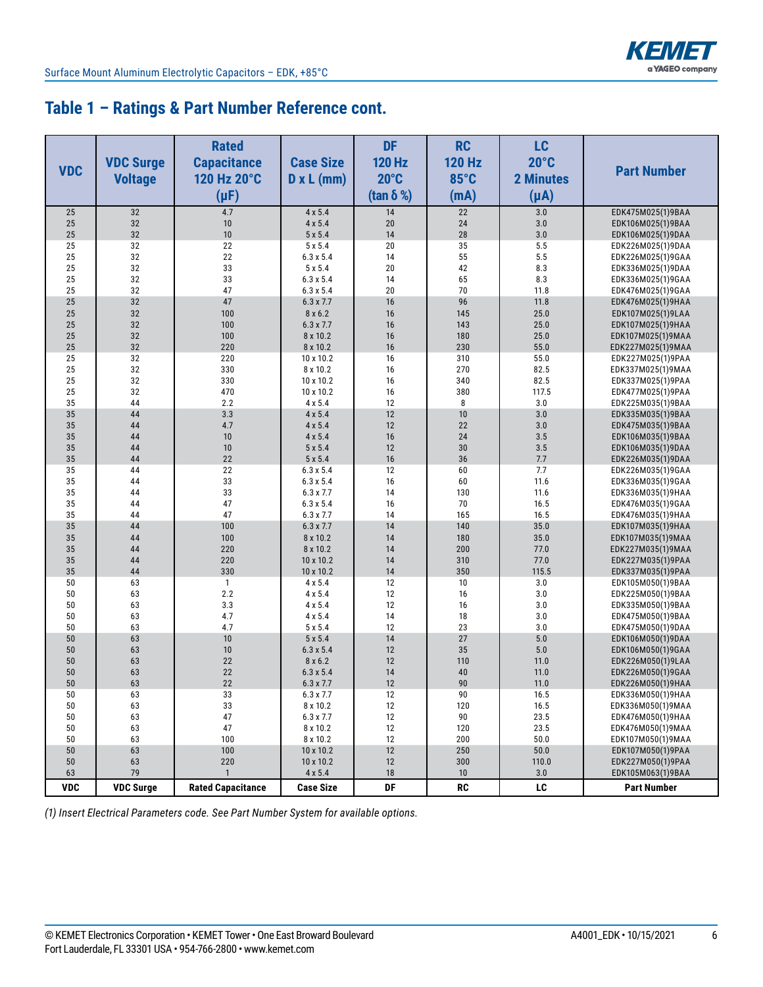

### **Table 1 – Ratings & Part Number Reference cont.**

| <b>VDC</b> | <b>VDC Surge</b><br><b>Voltage</b> | <b>Rated</b><br><b>Capacitance</b><br>120 Hz 20°C<br>$(\mu F)$ | <b>Case Size</b><br>$D \times L$ (mm) | <b>DF</b><br><b>120 Hz</b><br>$20^{\circ}$ C<br>(tan $\delta$ %) | <b>RC</b><br><b>120 Hz</b><br>85°C<br>(mA) | <b>LC</b><br>$20^{\circ}$ C<br><b>2 Minutes</b><br>$(\mu A)$ | <b>Part Number</b>                     |
|------------|------------------------------------|----------------------------------------------------------------|---------------------------------------|------------------------------------------------------------------|--------------------------------------------|--------------------------------------------------------------|----------------------------------------|
| 25         | 32                                 | 4.7                                                            | $4 \times 5.4$                        | 14                                                               | $\overline{22}$                            | 3.0                                                          | EDK475M025(1)9BAA                      |
| 25         | 32                                 | 10                                                             | $4 \times 5.4$                        | 20                                                               | 24                                         | 3.0                                                          | EDK106M025(1)9BAA                      |
| 25         | 32                                 | 10                                                             | 5x5.4                                 | 14                                                               | 28                                         | 3.0                                                          | EDK106M025(1)9DAA                      |
| 25         | 32                                 | 22                                                             | 5 x 5.4                               | 20                                                               | 35                                         | 5.5                                                          | EDK226M025(1)9DAA                      |
| 25         | 32                                 | 22                                                             | $6.3 \times 5.4$                      | 14                                                               | 55                                         | 5.5                                                          | EDK226M025(1)9GAA                      |
| 25         | 32                                 | 33                                                             | $5 \times 5.4$                        | 20                                                               | 42                                         | 8.3                                                          | EDK336M025(1)9DAA                      |
| 25         | 32                                 | 33                                                             | $6.3 \times 5.4$                      | 14                                                               | 65                                         | 8.3                                                          | EDK336M025(1)9GAA                      |
| 25         | 32                                 | 47                                                             | $6.3 \times 5.4$                      | 20                                                               | 70                                         | 11.8                                                         | EDK476M025(1)9GAA                      |
| 25         | 32                                 | 47                                                             | $6.3 \times 7.7$                      | 16                                                               | 96                                         | 11.8                                                         | EDK476M025(1)9HAA                      |
| 25         | 32                                 | 100                                                            | 8x6.2                                 | 16<br>16                                                         | 145                                        | 25.0                                                         | EDK107M025(1)9LAA                      |
| 25<br>25   | 32<br>32                           | 100<br>100                                                     | $6.3 \times 7.7$<br>8 x 10.2          | 16                                                               | 143<br>180                                 | 25.0<br>25.0                                                 | EDK107M025(1)9HAA                      |
| 25         | 32                                 | 220                                                            | 8 x 10.2                              | 16                                                               | 230                                        | 55.0                                                         | EDK107M025(1)9MAA<br>EDK227M025(1)9MAA |
| 25         | 32                                 | 220                                                            | 10 x 10.2                             | 16                                                               | 310                                        | 55.0                                                         | EDK227M025(1)9PAA                      |
| 25         | 32                                 | 330                                                            | 8 x 10.2                              | 16                                                               | 270                                        | 82.5                                                         | EDK337M025(1)9MAA                      |
| 25         | 32                                 | 330                                                            | 10 x 10.2                             | 16                                                               | 340                                        | 82.5                                                         | EDK337M025(1)9PAA                      |
| 25         | 32                                 | 470                                                            | 10 x 10.2                             | 16                                                               | 380                                        | 117.5                                                        | EDK477M025(1)9PAA                      |
| 35         | 44                                 | 2.2                                                            | 4 x 5.4                               | 12                                                               | 8                                          | 3.0                                                          | EDK225M035(1)9BAA                      |
| 35         | 44                                 | 3.3                                                            | $4 \times 5.4$                        | 12                                                               | 10                                         | 3.0                                                          | EDK335M035(1)9BAA                      |
| 35         | 44                                 | 4.7                                                            | 4 x 5.4                               | 12                                                               | 22                                         | 3.0                                                          | EDK475M035(1)9BAA                      |
| 35         | 44                                 | 10                                                             | 4 x 5.4                               | 16                                                               | 24                                         | 3.5                                                          | EDK106M035(1)9BAA                      |
| 35         | 44                                 | 10                                                             | $5 \times 5.4$                        | 12                                                               | 30                                         | 3.5                                                          | EDK106M035(1)9DAA                      |
| 35         | 44                                 | 22                                                             | 5x5.4                                 | 16                                                               | 36                                         | 7.7                                                          | EDK226M035(1)9DAA                      |
| 35         | 44                                 | 22                                                             | $6.3 \times 5.4$                      | 12                                                               | 60                                         | 7.7                                                          | EDK226M035(1)9GAA                      |
| 35         | 44                                 | 33                                                             | $6.3 \times 5.4$                      | 16                                                               | 60                                         | 11.6                                                         | EDK336M035(1)9GAA                      |
| 35         | 44                                 | 33                                                             | $6.3 \times 7.7$                      | 14                                                               | 130                                        | 11.6                                                         | EDK336M035(1)9HAA                      |
| 35         | 44                                 | 47                                                             | $6.3 \times 5.4$                      | 16                                                               | 70                                         | 16.5                                                         | EDK476M035(1)9GAA                      |
| 35         | 44                                 | 47                                                             | $6.3 \times 7.7$                      | 14                                                               | 165                                        | 16.5                                                         | EDK476M035(1)9HAA                      |
| 35         | 44                                 | 100                                                            | $6.3 \times 7.7$                      | 14                                                               | 140                                        | 35.0                                                         | EDK107M035(1)9HAA                      |
| 35         | 44                                 | 100                                                            | 8 x 10.2                              | 14                                                               | 180                                        | 35.0                                                         | EDK107M035(1)9MAA                      |
| 35         | 44                                 | 220                                                            | 8 x 10.2                              | 14                                                               | 200                                        | 77.0                                                         | EDK227M035(1)9MAA                      |
| 35         | 44                                 | 220                                                            | 10 x 10.2                             | 14                                                               | 310                                        | 77.0                                                         | EDK227M035(1)9PAA                      |
| 35         | 44                                 | 330                                                            | 10 x 10.2                             | 14                                                               | 350                                        | 115.5                                                        | EDK337M035(1)9PAA                      |
| 50         | 63                                 | $\mathbf{1}$                                                   | 4 x 5.4                               | 12                                                               | 10                                         | 3.0                                                          | EDK105M050(1)9BAA                      |
| 50<br>50   | 63<br>63                           | 2.2<br>3.3                                                     | 4 x 5.4                               | 12<br>12                                                         | 16<br>16                                   | 3.0<br>$3.0\,$                                               | EDK225M050(1)9BAA                      |
| 50         | 63                                 | 4.7                                                            | 4 x 5.4<br>$4 \times 5.4$             | 14                                                               | 18                                         | 3.0                                                          | EDK335M050(1)9BAA<br>EDK475M050(1)9BAA |
| 50         | 63                                 | 4.7                                                            | 5 x 5.4                               | 12                                                               | 23                                         | 3.0                                                          | EDK475M050(1)9DAA                      |
| 50         | 63                                 | 10                                                             | 5x5.4                                 | 14                                                               | 27                                         | 5.0                                                          | EDK106M050(1)9DAA                      |
| 50         | 63                                 | 10                                                             | $6.3 \times 5.4$                      | 12                                                               | 35                                         | 5.0                                                          | EDK106M050(1)9GAA                      |
| 50         | 63                                 | 22                                                             | 8x6.2                                 | 12                                                               | 110                                        | 11.0                                                         | EDK226M050(1)9LAA                      |
| 50         | 63                                 | 22                                                             | $6.3 \times 5.4$                      | 14                                                               | 40                                         | 11.0                                                         | EDK226M050(1)9GAA                      |
| 50         | 63                                 | 22                                                             | 6.3 x 7.7                             | 12                                                               | 90                                         | 11.0                                                         | EDK226M050(1)9HAA                      |
| 50         | 63                                 | 33                                                             | $6.3 \times 7.7$                      | 12                                                               | 90                                         | 16.5                                                         | EDK336M050(1)9HAA                      |
| 50         | 63                                 | 33                                                             | 8 x 10.2                              | 12                                                               | 120                                        | 16.5                                                         | EDK336M050(1)9MAA                      |
| 50         | 63                                 | 47                                                             | 6.3 x 7.7                             | $12\,$                                                           | 90                                         | 23.5                                                         | EDK476M050(1)9HAA                      |
| 50         | 63                                 | 47                                                             | 8 x 10.2                              | $12\,$                                                           | 120                                        | 23.5                                                         | EDK476M050(1)9MAA                      |
| 50         | 63                                 | 100                                                            | 8 x 10.2                              | 12                                                               | 200                                        | 50.0                                                         | EDK107M050(1)9MAA                      |
| 50         | 63                                 | 100                                                            | 10 x 10.2                             | 12                                                               | 250                                        | 50.0                                                         | EDK107M050(1)9PAA                      |
| 50         | 63                                 | 220                                                            | 10 x 10.2                             | 12                                                               | 300                                        | 110.0                                                        | EDK227M050(1)9PAA                      |
| 63         | 79                                 | $\mathbf{1}$                                                   | $4 \times 5.4$                        | $18$                                                             | 10                                         | 3.0                                                          | EDK105M063(1)9BAA                      |
| <b>VDC</b> | <b>VDC Surge</b>                   | <b>Rated Capacitance</b>                                       | <b>Case Size</b>                      | DF                                                               | RC                                         | LC                                                           | <b>Part Number</b>                     |

*(1) Insert Electrical Parameters code. See Part Number System for available options.*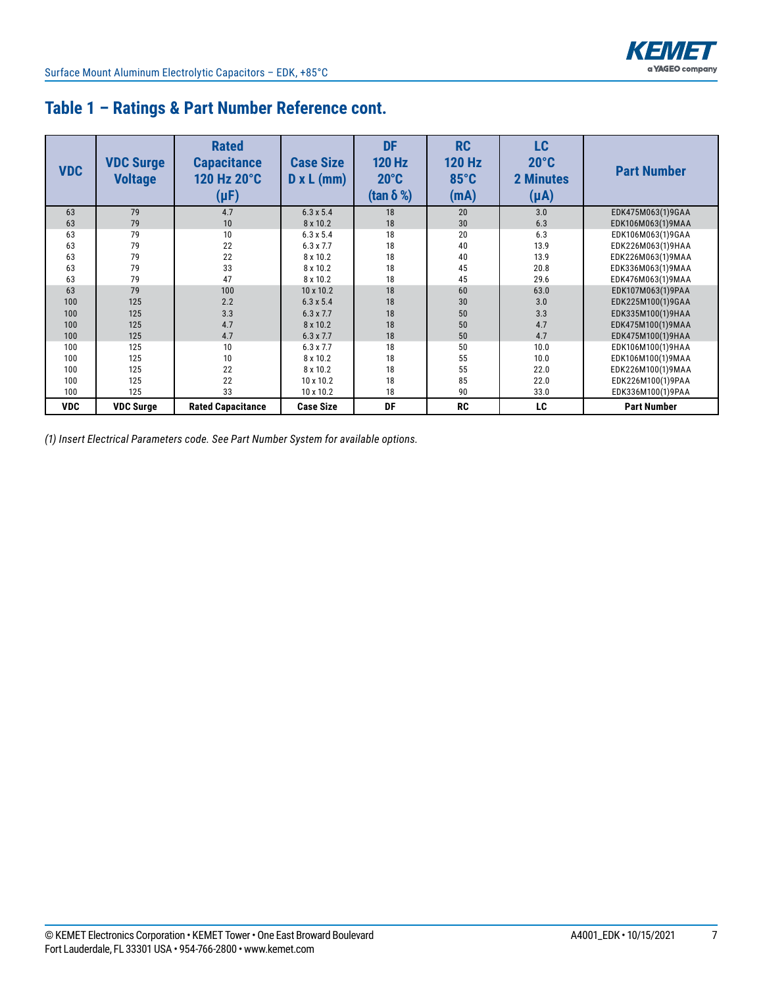

| <b>VDC</b> | <b>VDC Surge</b><br><b>Voltage</b> | <b>Rated</b><br><b>Capacitance</b><br>120 Hz 20°C<br>$(\mu F)$ | <b>Case Size</b><br>$D \times L$ (mm) | <b>DF</b><br><b>120 Hz</b><br>$20^{\circ}$ C<br>(tan $\delta$ %) | <b>RC</b><br><b>120 Hz</b><br>$85^{\circ}$ C<br>(mA) | <b>LC</b><br>$20^{\circ}$ C<br><b>2 Minutes</b><br>$(\mu A)$ | <b>Part Number</b> |
|------------|------------------------------------|----------------------------------------------------------------|---------------------------------------|------------------------------------------------------------------|------------------------------------------------------|--------------------------------------------------------------|--------------------|
| 63         | 79                                 | 4.7                                                            | $6.3 \times 5.4$                      | 18                                                               | 20                                                   | 3.0                                                          | EDK475M063(1)9GAA  |
| 63         | 79                                 | 10                                                             | 8 x 10.2                              | 18                                                               | 30                                                   | 6.3                                                          | EDK106M063(1)9MAA  |
| 63         | 79                                 | 10                                                             | $6.3 \times 5.4$                      | 18                                                               | 20                                                   | 6.3                                                          | EDK106M063(1)9GAA  |
| 63         | 79                                 | 22                                                             | $6.3 \times 7.7$                      | 18                                                               | 40                                                   | 13.9                                                         | EDK226M063(1)9HAA  |
| 63         | 79                                 | 22                                                             | 8 x 10.2                              | 18                                                               | 40                                                   | 13.9                                                         | EDK226M063(1)9MAA  |
| 63         | 79                                 | 33                                                             | 8 x 10.2                              | 18                                                               | 45                                                   | 20.8                                                         | EDK336M063(1)9MAA  |
| 63         | 79                                 | 47                                                             | 8 x 10.2                              | 18                                                               | 45                                                   | 29.6                                                         | EDK476M063(1)9MAA  |
| 63         | 79                                 | 100                                                            | $10 \times 10.2$                      | 18                                                               | 60                                                   | 63.0                                                         | EDK107M063(1)9PAA  |
| 100        | 125                                | 2.2                                                            | $6.3 \times 5.4$                      | 18                                                               | 30                                                   | 3.0                                                          | EDK225M100(1)9GAA  |
| 100        | 125                                | 3.3                                                            | $6.3 \times 7.7$                      | 18                                                               | 50                                                   | 3.3                                                          | EDK335M100(1)9HAA  |
| 100        | 125                                | 4.7                                                            | 8 x 10.2                              | 18                                                               | 50                                                   | 4.7                                                          | EDK475M100(1)9MAA  |
| 100        | 125                                | 4.7                                                            | $6.3 \times 7.7$                      | 18                                                               | 50                                                   | 4.7                                                          | EDK475M100(1)9HAA  |
| 100        | 125                                | 10                                                             | $6.3 \times 7.7$                      | 18                                                               | 50                                                   | 10.0                                                         | EDK106M100(1)9HAA  |
| 100        | 125                                | 10                                                             | 8 x 10.2                              | 18                                                               | 55                                                   | 10.0                                                         | EDK106M100(1)9MAA  |
| 100        | 125                                | 22                                                             | 8 x 10.2                              | 18                                                               | 55                                                   | 22.0                                                         | EDK226M100(1)9MAA  |
| 100        | 125                                | 22                                                             | $10 \times 10.2$                      | 18                                                               | 85                                                   | 22.0                                                         | EDK226M100(1)9PAA  |
| 100        | 125                                | 33                                                             | $10 \times 10.2$                      | 18                                                               | 90                                                   | 33.0                                                         | EDK336M100(1)9PAA  |
| <b>VDC</b> | <b>VDC Surge</b>                   | <b>Rated Capacitance</b>                                       | <b>Case Size</b>                      | DF                                                               | <b>RC</b>                                            | LC                                                           | <b>Part Number</b> |

### **Table 1 – Ratings & Part Number Reference cont.**

*(1) Insert Electrical Parameters code. See Part Number System for available options.*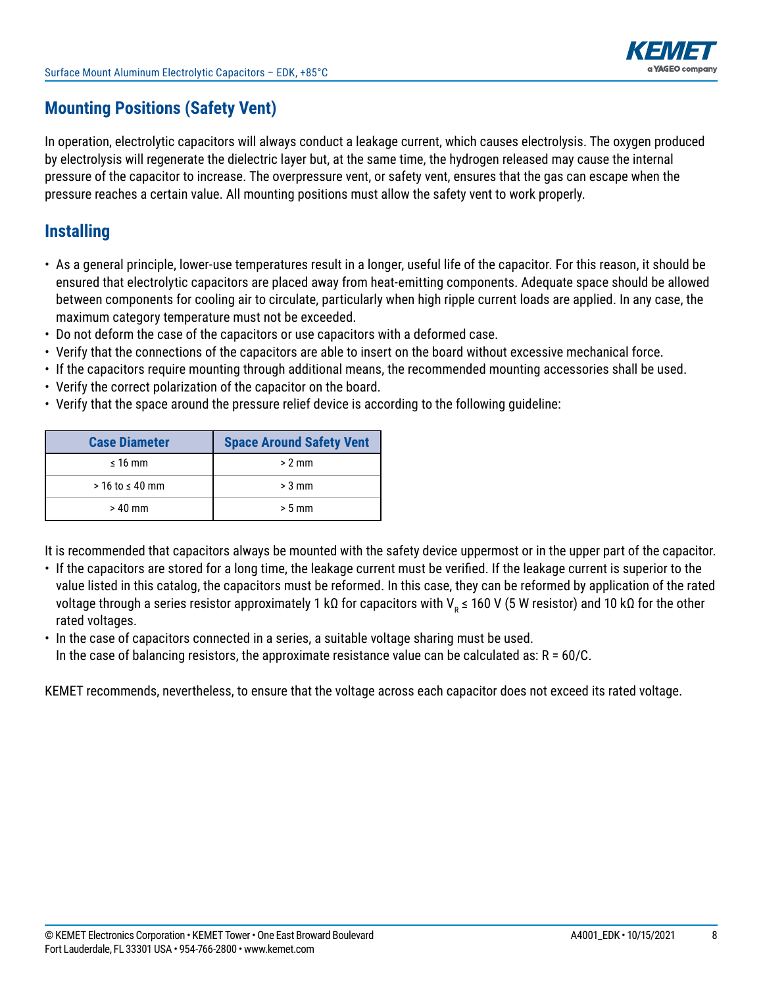

# **Mounting Positions (Safety Vent)**

In operation, electrolytic capacitors will always conduct a leakage current, which causes electrolysis. The oxygen produced by electrolysis will regenerate the dielectric layer but, at the same time, the hydrogen released may cause the internal pressure of the capacitor to increase. The overpressure vent, or safety vent, ensures that the gas can escape when the pressure reaches a certain value. All mounting positions must allow the safety vent to work properly.

### **Installing**

- As a general principle, lower-use temperatures result in a longer, useful life of the capacitor. For this reason, it should be ensured that electrolytic capacitors are placed away from heat-emitting components. Adequate space should be allowed between components for cooling air to circulate, particularly when high ripple current loads are applied. In any case, the maximum category temperature must not be exceeded.
- Do not deform the case of the capacitors or use capacitors with a deformed case.
- Verify that the connections of the capacitors are able to insert on the board without excessive mechanical force.
- If the capacitors require mounting through additional means, the recommended mounting accessories shall be used.
- Verify the correct polarization of the capacitor on the board.
- Verify that the space around the pressure relief device is according to the following guideline:

| <b>Case Diameter</b>   | <b>Space Around Safety Vent</b> |
|------------------------|---------------------------------|
| $\leq 16$ mm           | $> 2$ mm                        |
| $>$ 16 to $\leq$ 40 mm | $> 3$ mm                        |
| $>40$ mm               | $> 5$ mm                        |

It is recommended that capacitors always be mounted with the safety device uppermost or in the upper part of the capacitor.

- If the capacitors are stored for a long time, the leakage current must be verified. If the leakage current is superior to the value listed in this catalog, the capacitors must be reformed. In this case, they can be reformed by application of the rated voltage through a series resistor approximately 1 kΩ for capacitors with V<sub>R</sub> ≤ 160 V (5 W resistor) and 10 kΩ for the other rated voltages.
- In the case of capacitors connected in a series, a suitable voltage sharing must be used.
- In the case of balancing resistors, the approximate resistance value can be calculated as:  $R = 60/C$ .

KEMET recommends, nevertheless, to ensure that the voltage across each capacitor does not exceed its rated voltage.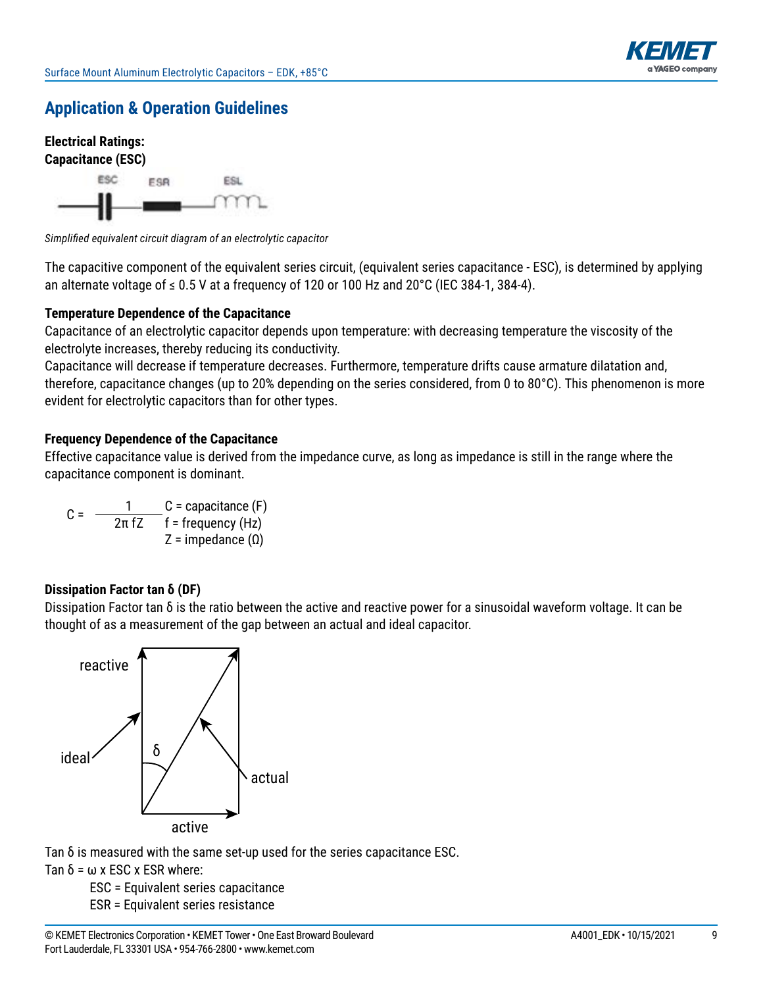



Simplified equivalent circuit diagram of an electrolytic capacitor

The capacitive component of the equivalent series circuit, (equivalent series capacitance - ESC), is determined by applying an alternate voltage of  $\leq 0.5$  V at a frequency of 120 or 100 Hz and 20°C (IEC 384-1, 384-4).

#### **Temperature Dependence of the Capacitance**

Capacitance of an electrolytic capacitor depends upon temperature: with decreasing temperature the viscosity of the electrolyte increases, thereby reducing its conductivity.

Capacitance will decrease if temperature decreases. Furthermore, temperature drifts cause armature dilatation and, therefore, capacitance changes (up to 20% depending on the series considered, from 0 to 80 $^{\circ}$ C). This phenomenon is more evident for electrolytic capacitors than for other types.

#### **Frequency Dependence of the Capacitance**

Effective capacitance value is derived from the impedance curve, as long as impedance is still in the range where the capacitance component is dominant.

C =  $\frac{1}{2\pi fZ}$  C = capacitance (F)<br> $\frac{1}{2\pi fZ}$  f = frequency (Hz) Z = impedance  $(Ω)$ 

#### **Dissipation Factor tan δ (DF)**

Dissipation Factor tan  $\delta$  is the ratio between the active and reactive power for a sinusoidal waveform voltage. It can be thought of as a measurement of the gap between an actual and ideal capacitor.



Tan δ is measured with the same set-up used for the series capacitance ESC.

Tan  $\delta$  =  $\omega$  x ESC x ESR where:

 ESC = Equivalent series capacitance ESR = Equivalent series resistance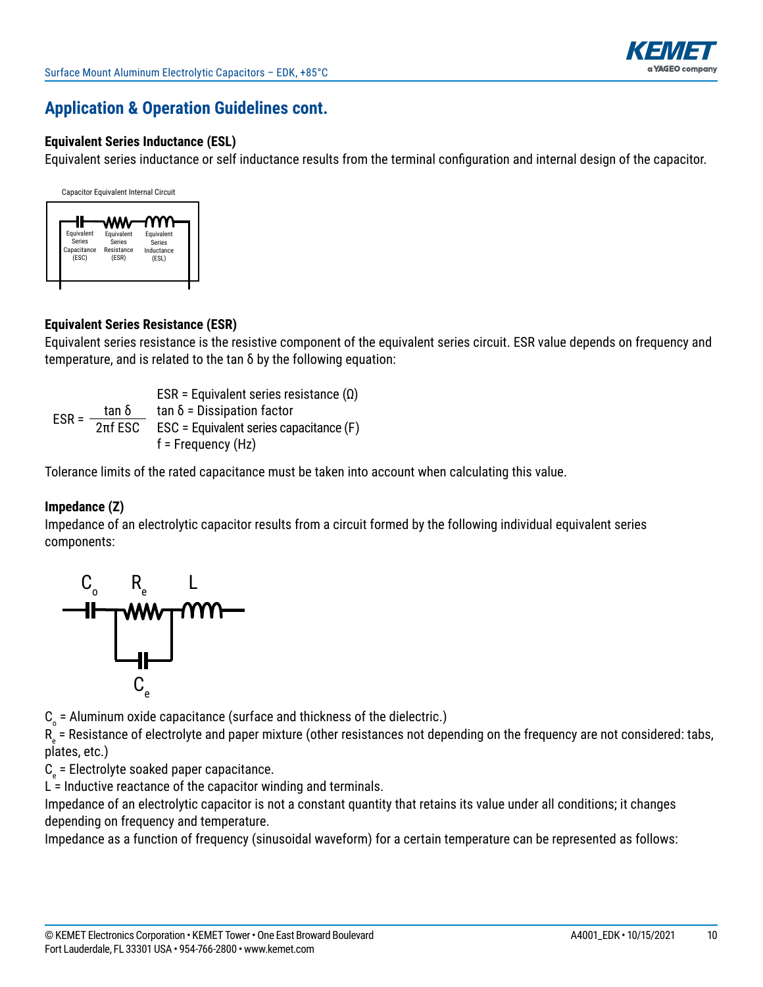

#### **Equivalent Series Inductance (ESL)**

Equivalent series inductance or self inductance results from the terminal configuration and internal design of the capacitor.



#### **Equivalent Series Resistance (ESR)**

Equivalent series resistance is the resistive component of the equivalent series circuit. ESR value depends on frequency and temperature, and is related to the  $\tan \delta$  by the following equation:

ESR = Equivalent series resistance  $(Ω)$ ESR =  $\frac{\tan \delta}{2\pi f}$  tan δ = Dissipation factor<br>ESR =  $\frac{2\pi f}{2\pi f}$  ESC = Equivalent series capacitance (F)  $f$  = Frequency (Hz)

Tolerance limits of the rated capacitance must be taken into account when calculating this value.

#### **Impedance (Z)**

Impedance of an electrolytic capacitor results from a circuit formed by the following individual equivalent series components:



 ${\tt C}_{_{\rm O}}$  = Aluminum oxide capacitance (surface and thickness of the dielectric.)

 $\mathsf{R}_{_\mathrm{e}}$  = Resistance of electrolyte and paper mixture (other resistances not depending on the frequency are not considered: tabs, plates, etc.)

 $C_{\rm e}$  = Electrolyte soaked paper capacitance.

 $L =$  Inductive reactance of the capacitor winding and terminals.

Impedance of an electrolytic capacitor is not a constant quantity that retains its value under all conditions; it changes depending on frequency and temperature.

Impedance as a function of frequency (sinusoidal waveform) for a certain temperature can be represented as follows: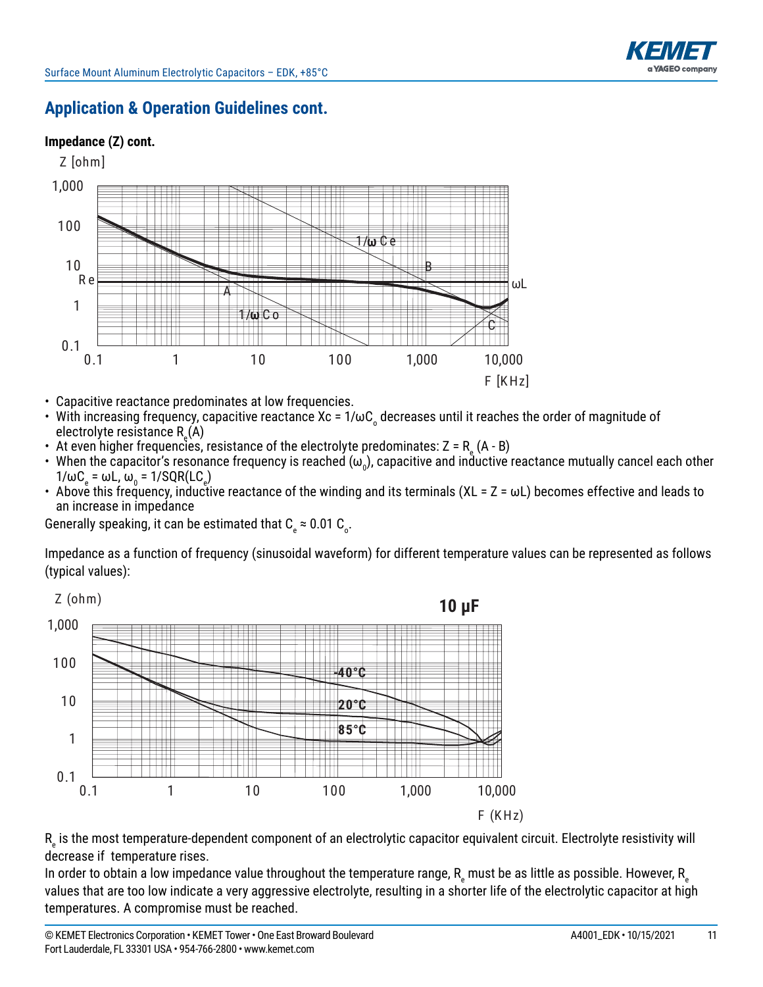

#### **Impedance (Z) cont.**



- Capacitive reactance predominates at low frequencies.
- With increasing frequency, capacitive reactance Xc =  $1/\omega C$  decreases until it reaches the order of magnitude of electrolyte resistance R<sub>e</sub>(A)
- At even higher frequencies, resistance of the electrolyte predominates: Z = R  $_{\textrm{\tiny{e}}}$  (A B)
- When the capacitor's resonance frequency is reached ( $\omega_0$ ), capacitive and inductive reactance mutually cancel each other  $1/\omega C_e = \omega L$ ,  $\omega_0 = 1/\text{SQR}(\text{LC}_e)$
- Above this frequency, inductive reactance of the winding and its terminals (XL =  $Z = \omega L$ ) becomes effective and leads to an increase in impedance

Generally speaking, it can be estimated that C  $_{\textrm{\tiny{e}}}$   $\approx$  0.01 C  $_{\textrm{\tiny{o}}}$ .

Impedance as a function of frequency (sinusoidal waveform) for different temperature values can be represented as follows (typical values):



 $\mathsf{R}_{_\mathrm{e}}$  is the most temperature-dependent component of an electrolytic capacitor equivalent circuit. Electrolyte resistivity will decrease if temperature rises.

In order to obtain a low impedance value throughout the temperature range,  ${\sf R}_{_{\rm e}}$  must be as little as possible. However,  ${\sf R}_{_{\rm e}}$ values that are too low indicate a very aggressive electrolyte, resulting in a shorter life of the electrolytic capacitor at high temperatures. A compromise must be reached.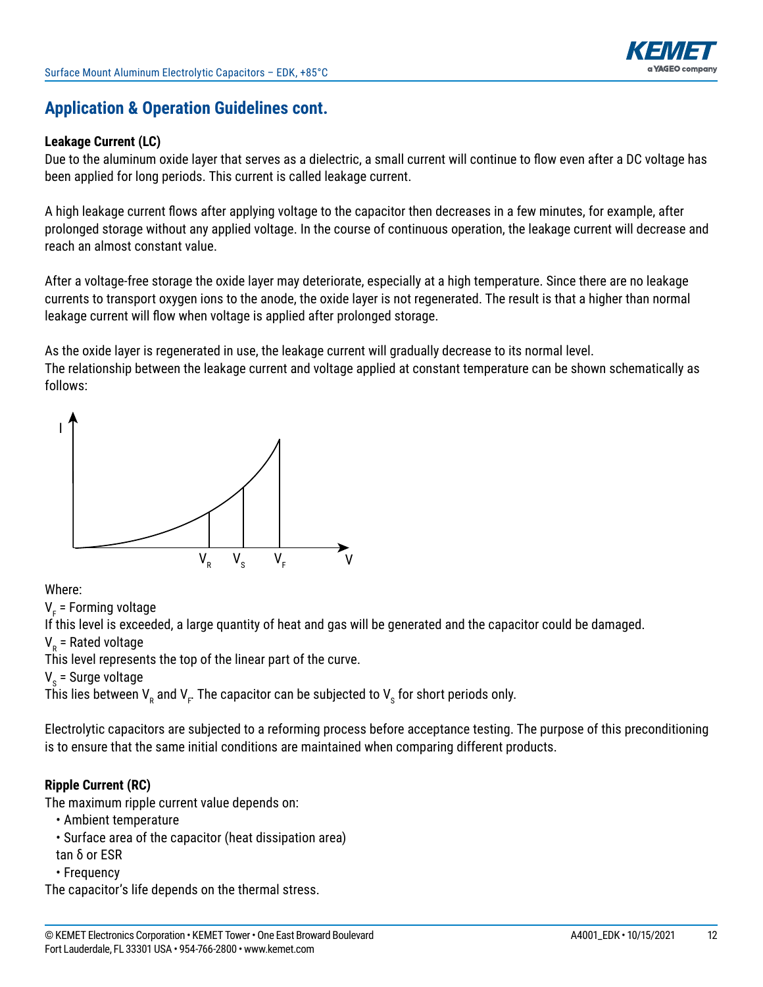

#### **Leakage Current (LC)**

Due to the aluminum oxide layer that serves as a dielectric, a small current will continue to flow even after a DC voltage has been applied for long periods. This current is called leakage current.

A high leakage current flows after applying voltage to the capacitor then decreases in a few minutes, for example, after prolonged storage without any applied voltage. In the course of continuous operation, the leakage current will decrease and reach an almost constant value.

After a voltage-free storage the oxide layer may deteriorate, especially at a high temperature. Since there are no leakage currents to transport oxygen ions to the anode, the oxide layer is not regenerated. The result is that a higher than normal leakage current will flow when voltage is applied after prolonged storage.

As the oxide layer is regenerated in use, the leakage current will gradually decrease to its normal level. The relationship between the leakage current and voltage applied at constant temperature can be shown schematically as follows:



#### Where:

V<sub>F</sub> = Forming voltage

If this level is exceeded, a large quantity of heat and gas will be generated and the capacitor could be damaged.

V<sub>R</sub> = Rated voltage

This level represents the top of the linear part of the curve.

V<sub>s</sub> = Surge voltage

This lies between  $\mathsf{V}_{_\mathsf{R}}$  and  $\mathsf{V}_{_\mathsf{F}}$  The capacitor can be subjected to  $\mathsf{V}_{_\mathsf{S}}$  for short periods only.

Electrolytic capacitors are subjected to a reforming process before acceptance testing. The purpose of this preconditioning is to ensure that the same initial conditions are maintained when comparing different products.

#### **Ripple Current (RC)**

The maximum ripple current value depends on:

- Ambient temperature
- Surface area of the capacitor (heat dissipation area)
- tan δ or ESR
- • Frequency

The capacitor's life depends on the thermal stress.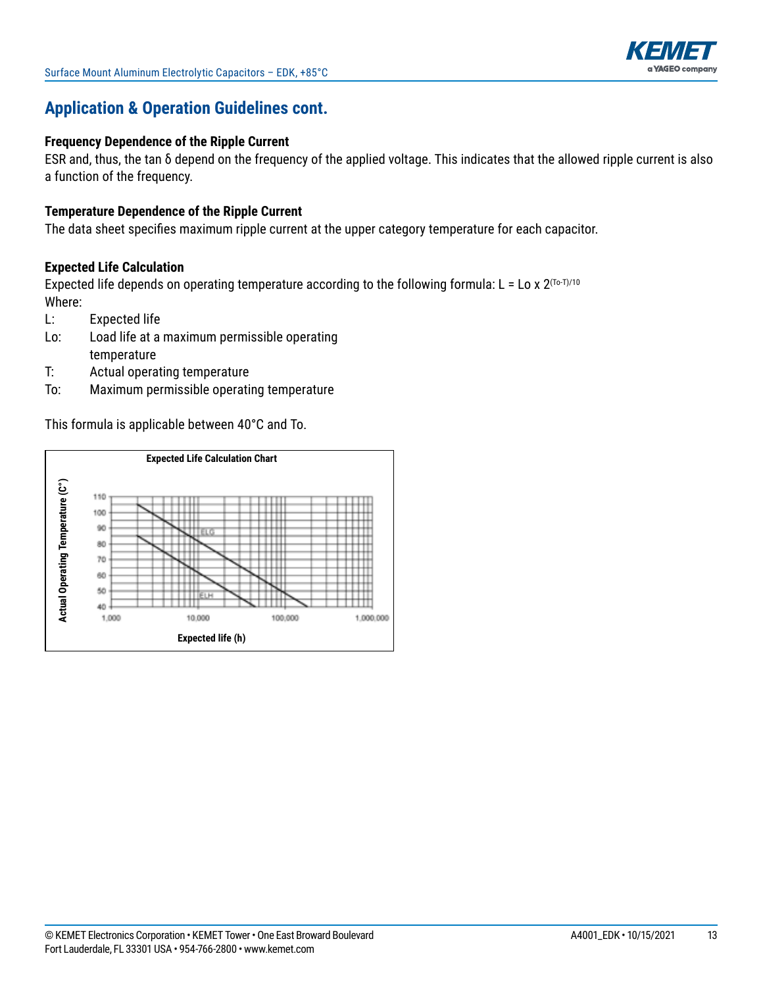

#### **Frequency Dependence of the Ripple Current**

ESR and, thus, the tan  $\delta$  depend on the frequency of the applied voltage. This indicates that the allowed ripple current is also a function of the frequency.

#### **Temperature Dependence of the Ripple Current**

The data sheet specifies maximum ripple current at the upper category temperature for each capacitor.

#### **Expected Life Calculation**

Expected life depends on operating temperature according to the following formula: L = Lo x  $2^{(T_0-T)/10}$ Where:

- L: Expected life
- Lo: Load life at a maximum permissible operating temperature
- T: Actual operating temperature
- To: Maximum permissible operating temperature

This formula is applicable between  $40^{\circ}$ C and To.

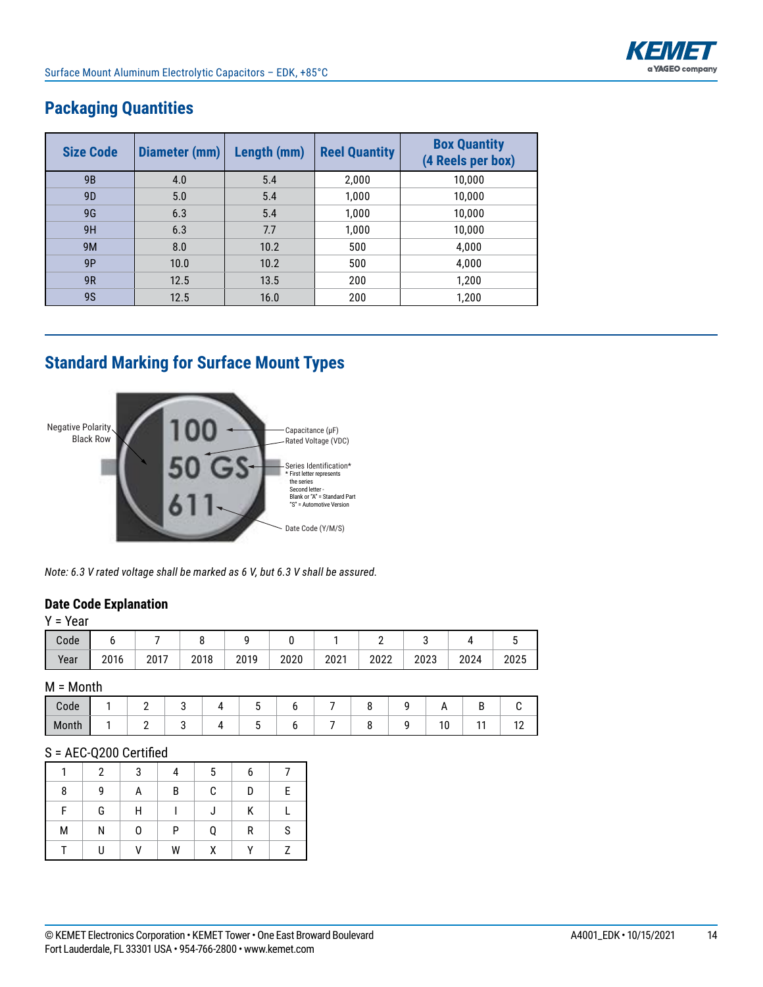

| <b>Size Code</b> | Diameter (mm) | Length (mm) | <b>Reel Quantity</b> | <b>Box Quantity</b><br>(4 Reels per box) |
|------------------|---------------|-------------|----------------------|------------------------------------------|
| <b>9B</b>        | 4.0           | 5.4         | 2,000                | 10,000                                   |
| 9 <sub>D</sub>   | 5.0           | 5.4         | 1,000                | 10,000                                   |
| 9G               | 6.3           | 5.4         | 1,000                | 10,000                                   |
| 9H               | 6.3           | 7.7         | 1,000                | 10,000                                   |
| <b>9M</b>        | 8.0           | 10.2        | 500                  | 4,000                                    |
| 9P               | 10.0          | 10.2        | 500                  | 4,000                                    |
| 9R               | 12.5          | 13.5        | 200                  | 1,200                                    |
| <b>9S</b>        | 12.5          | 16.0        | 200                  | 1,200                                    |

# **Packaging Quantities**

# **Standard Marking for Surface Mount Types**



*Note: 6.3 V rated voltage shall be marked as 6 V, but 6.3 V shall be assured.*

#### **Date Code Explanation**

| $Y = Year$ |      |      |      |      |      |      |          |      |      |      |
|------------|------|------|------|------|------|------|----------|------|------|------|
| Code       |      |      |      |      |      |      | <u>_</u> | ບ    |      |      |
| Year       | 2016 | 2017 | 2018 | 2019 | 2020 | 2021 | 2022     | 2023 | 2024 | 2025 |

#### M = Month

| Code  |  |  |  |  |               |     |
|-------|--|--|--|--|---------------|-----|
| Month |  |  |  |  | $\sim$<br>1 V | . . |

#### S = AEC-Q200 Certified

|   | $\mathcal{P}$ | 3 |    | 5            | 6            |   |
|---|---------------|---|----|--------------|--------------|---|
| 8 | 9             | A | B  | $\mathbf{C}$ | D            | E |
| F | G             | H | L  | J            | K            |   |
| М | N             | 0 | P. | Q            | $\mathsf{R}$ | S |
|   | U             | V | W  | X            | $\mathbf{v}$ | 7 |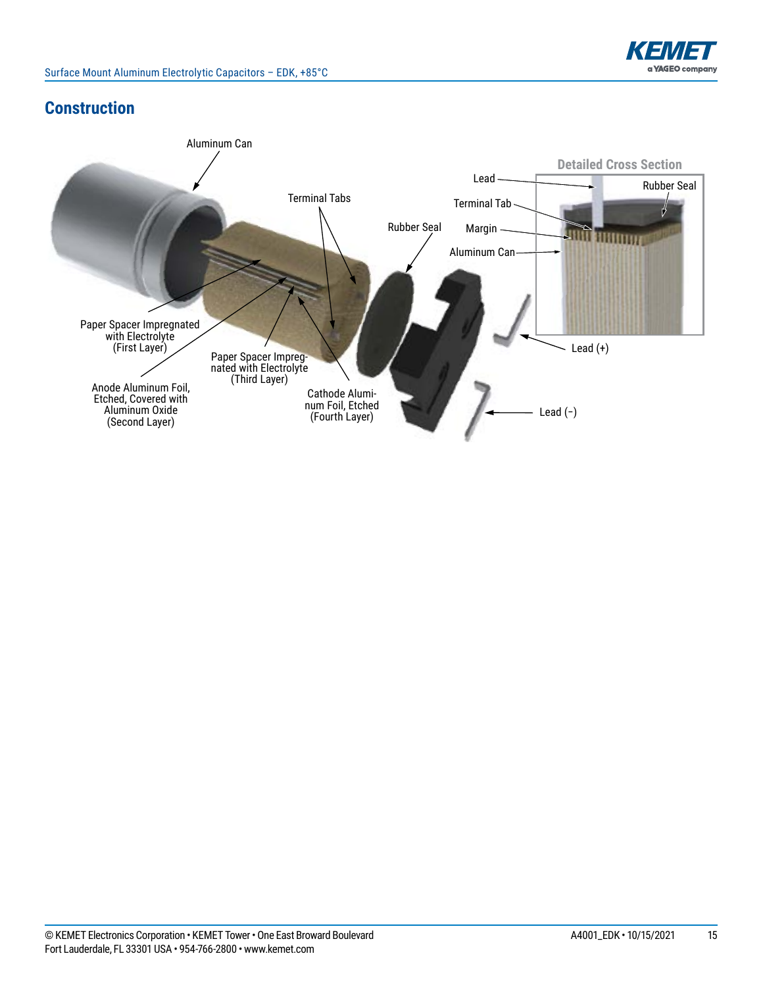

# **Construction**

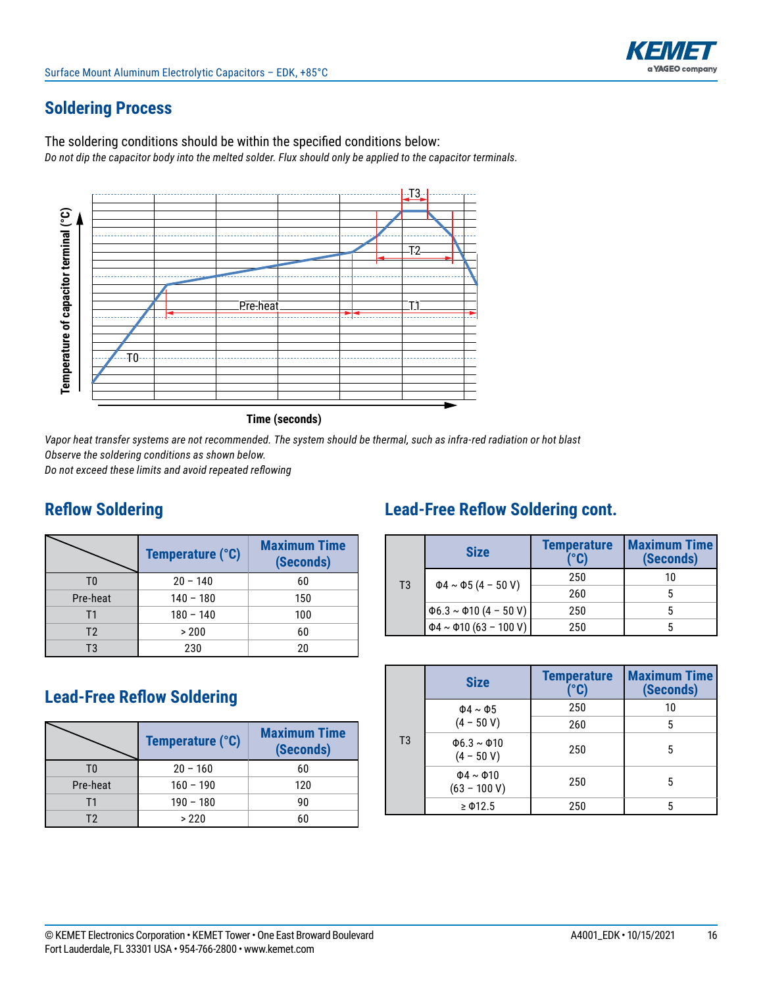# **Soldering Process**

The soldering conditions should be within the specified conditions below: *Do not dip the capacitor body into the melted solder. Flux should only be applied to the capacitor terminals.*





*Vapor heat transfer systems are not recommended. The system should be thermal, such as infra-red radiation or hot blast Observe the soldering conditions as shown below.* 

*Do not exceed these limits and avoid repeated reflowing*

# **Reflow Soldering**

|                | Temperature (°C) | <b>Maximum Time</b><br>(Seconds) |
|----------------|------------------|----------------------------------|
| T0             | $20 - 140$       | 60                               |
| Pre-heat       | $140 - 180$      | 150                              |
| Τ1             | $180 - 140$      | 100                              |
| T <sub>2</sub> | > 200            | 60                               |
| T3             | 230              | 20                               |

# **Lead-Free Reflow Soldering**

|          | Temperature (°C) | <b>Maximum Time</b><br>(Seconds) |  |  |  |
|----------|------------------|----------------------------------|--|--|--|
| T۵       | $20 - 160$       | 60                               |  |  |  |
| Pre-heat | $160 - 190$      | 120                              |  |  |  |
| Τ1       | $190 - 180$      | 90                               |  |  |  |
| T2       | >220             | 60                               |  |  |  |

# **Lead-Free Reflow Soldering cont.**

|    | <b>Size</b>                       | <b>Temperature</b><br>(°C) | <b>Maximum Time</b><br>(Seconds) |  |  |
|----|-----------------------------------|----------------------------|----------------------------------|--|--|
| T3 | $\Phi$ 4 ~ $\Phi$ 5 (4 - 50 V)    | 250                        | 10                               |  |  |
|    |                                   | 260                        |                                  |  |  |
|    | $\Phi$ 6.3 ~ $\Phi$ 10 (4 - 50 V) | 250                        |                                  |  |  |
|    | $\Phi$ 4 ~ $\Phi$ 10 (63 - 100 V) | 250                        |                                  |  |  |

|                | <b>Size</b>                            | <b>Temperature</b><br>(°C) | <b>Maximum Time</b><br>(Seconds) |
|----------------|----------------------------------------|----------------------------|----------------------------------|
|                | $\Phi$ 4 ~ $\Phi$ 5                    | 250                        | 10                               |
|                | $(4 - 50 V)$                           | 260                        | 5                                |
| T <sub>3</sub> | $\Phi$ 6.3 ~ $\Phi$ 10<br>$(4 - 50 V)$ | 250                        | 5                                |
|                | $\Phi$ 4 ~ $\Phi$ 10<br>$(63 - 100 V)$ | 250                        | 5                                |
|                | $\geq$ $\Phi$ 12.5                     | 250                        | 5                                |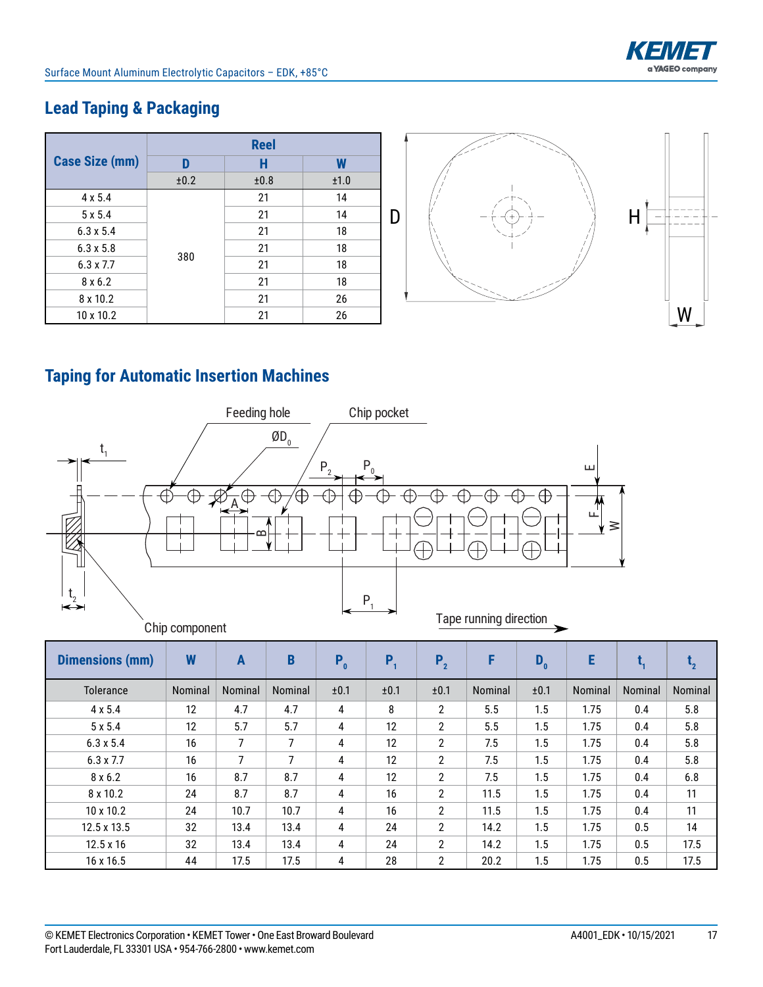

# **Lead Taping & Packaging**

|                       |      | <b>Reel</b> |      |   |                         |   |
|-----------------------|------|-------------|------|---|-------------------------|---|
| <b>Case Size (mm)</b> | D    | H           | W    |   |                         |   |
|                       | ±0.2 | ±0.8        | ±1.0 |   |                         |   |
| $4 \times 5.4$        |      | 21          | 14   |   |                         |   |
| $5 \times 5.4$        |      | 21          | 14   | D | $\cdot + \cdot$<br>$ -$ |   |
| $6.3 \times 5.4$      |      | 21          | 18   |   |                         |   |
| $6.3 \times 5.8$      |      | 21          | 18   |   |                         |   |
| $6.3 \times 7.7$      | 380  | 21          | 18   |   |                         |   |
| $8 \times 6.2$        |      | 21          | 18   |   |                         |   |
| 8 x 10.2              |      | 21          | 26   |   |                         |   |
| 10 x 10.2             |      | 21          | 26   |   |                         | W |

# **Taping for Automatic Insertion Machines**



| <b>Dimensions (mm)</b> | W       | $\mathbf{A}$   | B       | $P_0$ | P,   | P <sub>2</sub>        | F       | $D_0$ | E       |         | $t_{2}$ |
|------------------------|---------|----------------|---------|-------|------|-----------------------|---------|-------|---------|---------|---------|
| Tolerance              | Nominal | <b>Nominal</b> | Nominal | ±0.1  | ±0.1 | ±0.1                  | Nominal | ±0.1  | Nominal | Nominal | Nominal |
| $4 \times 5.4$         | 12      | 4.7            | 4.7     | 4     | 8    | $\overline{2}$        | 5.5     | 1.5   | 1.75    | 0.4     | 5.8     |
| 5 x 5.4                | 12      | 5.7            | 5.7     | 4     | 12   | $\overline{2}$        | 5.5     | 1.5   | 1.75    | 0.4     | 5.8     |
| $6.3 \times 5.4$       | 16      | 7              | 7       | 4     | 12   | $\overline{2}$        | 7.5     | 1.5   | 1.75    | 0.4     | 5.8     |
| $6.3 \times 7.7$       | 16      | 7              | 7       | 4     | 12   | $\mathbf{2}^{\circ}$  | 7.5     | 1.5   | 1.75    | 0.4     | 5.8     |
| 8x6.2                  | 16      | 8.7            | 8.7     | 4     | 12   | $\overline{2}$        | 7.5     | 1.5   | 1.75    | 0.4     | 6.8     |
| 8 x 10.2               | 24      | 8.7            | 8.7     | 4     | 16   | $\mathbf{2}^{\prime}$ | 11.5    | 1.5   | 1.75    | 0.4     | 11      |
| $10 \times 10.2$       | 24      | 10.7           | 10.7    | 4     | 16   | $\overline{2}$        | 11.5    | 1.5   | 1.75    | 0.4     | 11      |
| 12.5 x 13.5            | 32      | 13.4           | 13.4    | 4     | 24   | $\overline{2}$        | 14.2    | 1.5   | 1.75    | 0.5     | 14      |
| $12.5 \times 16$       | 32      | 13.4           | 13.4    | 4     | 24   | $\overline{2}$        | 14.2    | 1.5   | 1.75    | 0.5     | 17.5    |
| 16 x 16.5              | 44      | 17.5           | 17.5    | 4     | 28   | $\mathbf{2}^{\circ}$  | 20.2    | 1.5   | 1.75    | 0.5     | 17.5    |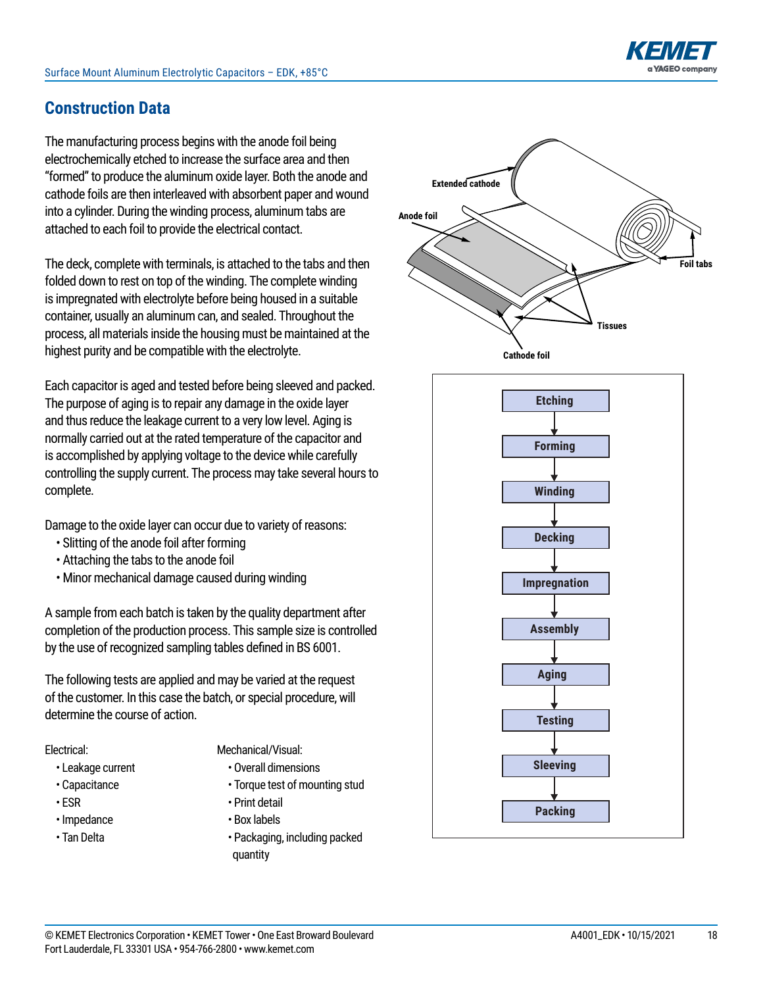# **Construction Data**

The manufacturing process begins with the anode foil being electrochemically etched to increase the surface area and then "formed" to produce the aluminum oxide layer. Both the anode and cathode foils are then interleaved with absorbent paper and wound into a cylinder. During the winding process, aluminum tabs are attached to each foil to provide the electrical contact.

The deck, complete with terminals, is attached to the tabs and then folded down to rest on top of the winding. The complete winding is impregnated with electrolyte before being housed in a suitable container, usually an aluminum can, and sealed. Throughout the process, all materials inside the housing must be maintained at the highest purity and be compatible with the electrolyte.

Each capacitor is aged and tested before being sleeved and packed. The purpose of aging is to repair any damage in the oxide layer and thus reduce the leakage current to a very low level. Aging is normally carried out at the rated temperature of the capacitor and is accomplished by applying voltage to the device while carefully controlling the supply current. The process may take several hours to complete.

Damage to the oxide layer can occur due to variety of reasons:

- Slitting of the anode foil after forming
- Attaching the tabs to the anode foil
- Minor mechanical damage caused during winding

A sample from each batch is taken by the quality department after completion of the production process. This sample size is controlled by the use of recognized sampling tables defined in BS 6001.

The following tests are applied and may be varied at the request of the customer. In this case the batch, or special procedure, will determine the course of action.

#### Electrical:

- Leakage current
- Capacitance
- ESR
- • Impedance
- Tan Delta
- Mechanical/Visual:
	- Overall dimensions
	- Torque test of mounting stud
	- Print detail
	- Box labels
	- Packaging, including packed quantity